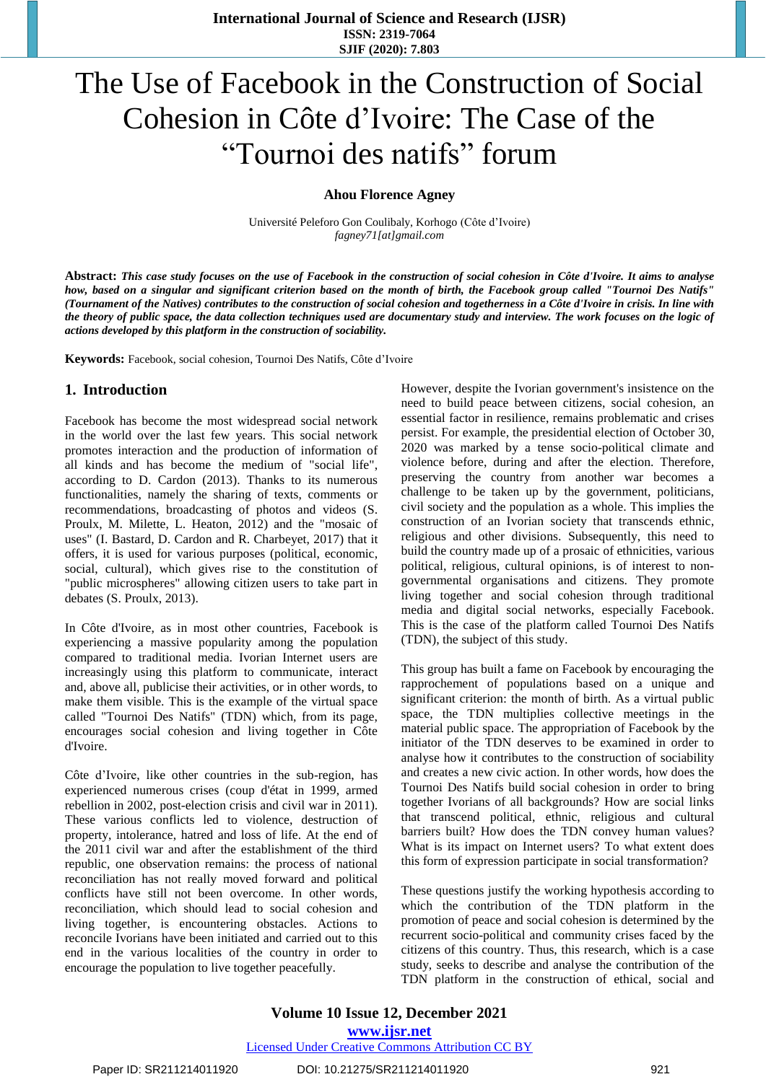# The Use of Facebook in the Construction of Social Cohesion in Côte d'Ivoire: The Case of the "Tournoi des natifs" forum

**Ahou Florence Agney**

Université Peleforo Gon Coulibaly, Korhogo (Côte d'Ivoire) *[fagney71\[at\]gmail.com](mailto:fagney71@gmail.com)*

Abstract: This case study focuses on the use of Facebook in the construction of social cohesion in Côte d'Ivoire. It aims to analyse how, based on a singular and significant criterion based on the month of birth, the Facebook group called "Tournoi Des Natifs" (Tournament of the Natives) contributes to the construction of social cohesion and togetherness in a Côte d'Ivoire in crisis. In line with the theory of public space, the data collection techniques used are documentary study and interview. The work focuses on the logic of *actions developed by this platform in the construction of sociability.* 

**Keywords:** Facebook, social cohesion, Tournoi Des Natifs, Côte d'Ivoire

#### **1. Introduction**

Facebook has become the most widespread social network in the world over the last few years. This social network promotes interaction and the production of information of all kinds and has become the medium of "social life", according to D. Cardon (2013). Thanks to its numerous functionalities, namely the sharing of texts, comments or recommendations, broadcasting of photos and videos (S. Proulx, M. Milette, L. Heaton, 2012) and the "mosaic of uses" (I. Bastard, D. Cardon and R. Charbeyet, 2017) that it offers, it is used for various purposes (political, economic, social, cultural), which gives rise to the constitution of "public microspheres" allowing citizen users to take part in debates (S. Proulx, 2013).

In Côte d'Ivoire, as in most other countries, Facebook is experiencing a massive popularity among the population compared to traditional media. Ivorian Internet users are increasingly using this platform to communicate, interact and, above all, publicise their activities, or in other words, to make them visible. This is the example of the virtual space called "Tournoi Des Natifs" (TDN) which, from its page, encourages social cohesion and living together in Côte d'Ivoire.

Côte d'Ivoire, like other countries in the sub-region, has experienced numerous crises (coup d'état in 1999, armed rebellion in 2002, post-election crisis and civil war in 2011). These various conflicts led to violence, destruction of property, intolerance, hatred and loss of life. At the end of the 2011 civil war and after the establishment of the third republic, one observation remains: the process of national reconciliation has not really moved forward and political conflicts have still not been overcome. In other words, reconciliation, which should lead to social cohesion and living together, is encountering obstacles. Actions to reconcile Ivorians have been initiated and carried out to this end in the various localities of the country in order to encourage the population to live together peacefully.

However, despite the Ivorian government's insistence on the need to build peace between citizens, social cohesion, an essential factor in resilience, remains problematic and crises persist. For example, the presidential election of October 30, 2020 was marked by a tense socio-political climate and violence before, during and after the election. Therefore, preserving the country from another war becomes a challenge to be taken up by the government, politicians, civil society and the population as a whole. This implies the construction of an Ivorian society that transcends ethnic, religious and other divisions. Subsequently, this need to build the country made up of a prosaic of ethnicities, various political, religious, cultural opinions, is of interest to nongovernmental organisations and citizens. They promote living together and social cohesion through traditional media and digital social networks, especially Facebook. This is the case of the platform called Tournoi Des Natifs (TDN), the subject of this study.

This group has built a fame on Facebook by encouraging the rapprochement of populations based on a unique and significant criterion: the month of birth. As a virtual public space, the TDN multiplies collective meetings in the material public space. The appropriation of Facebook by the initiator of the TDN deserves to be examined in order to analyse how it contributes to the construction of sociability and creates a new civic action. In other words, how does the Tournoi Des Natifs build social cohesion in order to bring together Ivorians of all backgrounds? How are social links that transcend political, ethnic, religious and cultural barriers built? How does the TDN convey human values? What is its impact on Internet users? To what extent does this form of expression participate in social transformation?

These questions justify the working hypothesis according to which the contribution of the TDN platform in the promotion of peace and social cohesion is determined by the recurrent socio-political and community crises faced by the citizens of this country. Thus, this research, which is a case study, seeks to describe and analyse the contribution of the TDN platform in the construction of ethical, social and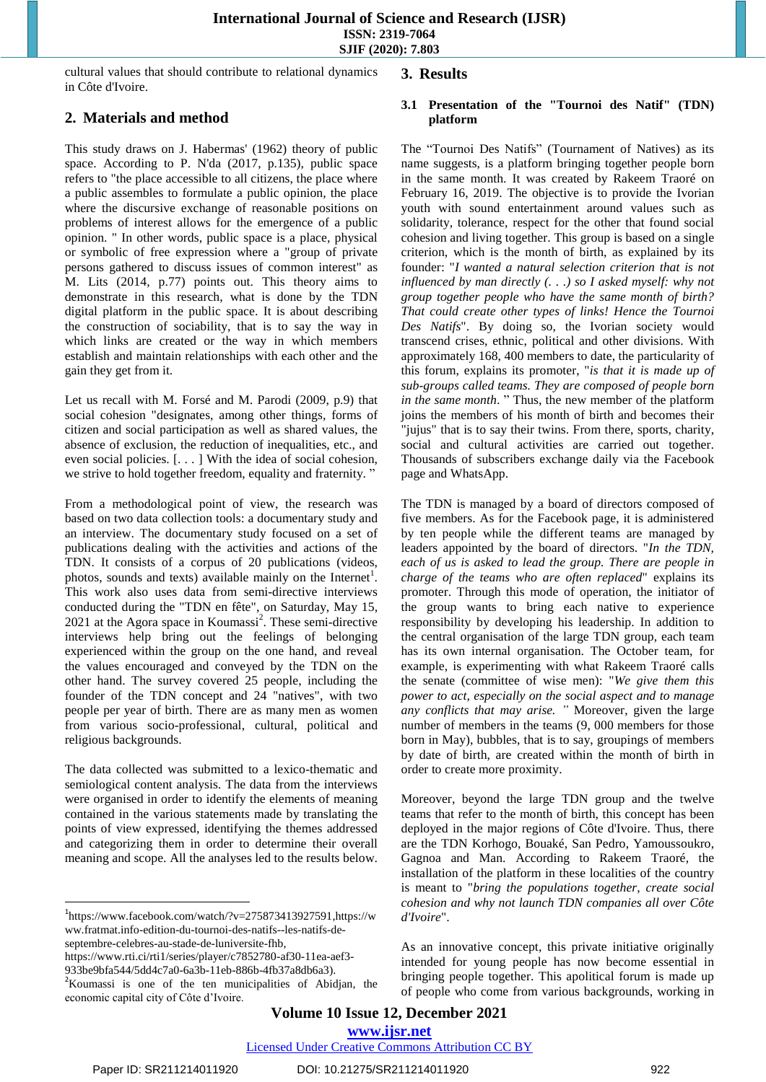cultural values that should contribute to relational dynamics in Côte d'Ivoire.

# **2. Materials and method**

This study draws on J. Habermas' (1962) theory of public space. According to P. N'da (2017, p.135), public space refers to "the place accessible to all citizens, the place where a public assembles to formulate a public opinion, the place where the discursive exchange of reasonable positions on problems of interest allows for the emergence of a public opinion. " In other words, public space is a place, physical or symbolic of free expression where a "group of private persons gathered to discuss issues of common interest" as M. Lits (2014, p.77) points out. This theory aims to demonstrate in this research, what is done by the TDN digital platform in the public space. It is about describing the construction of sociability, that is to say the way in which links are created or the way in which members establish and maintain relationships with each other and the gain they get from it.

Let us recall with M. Forsé and M. Parodi (2009, p.9) that social cohesion "designates, among other things, forms of citizen and social participation as well as shared values, the absence of exclusion, the reduction of inequalities, etc., and even social policies. [. . . ] With the idea of social cohesion, we strive to hold together freedom, equality and fraternity. "

From a methodological point of view, the research was based on two data collection tools: a documentary study and an interview. The documentary study focused on a set of publications dealing with the activities and actions of the TDN. It consists of a corpus of 20 publications (videos, photos, sounds and texts) available mainly on the Internet<sup>1</sup>. This work also uses data from semi-directive interviews conducted during the "TDN en fête", on Saturday, May 15, 2021 at the Agora space in Koumassi<sup>2</sup>. These semi-directive interviews help bring out the feelings of belonging experienced within the group on the one hand, and reveal the values encouraged and conveyed by the TDN on the other hand. The survey covered 25 people, including the founder of the TDN concept and 24 "natives", with two people per year of birth. There are as many men as women from various socio-professional, cultural, political and religious backgrounds.

The data collected was submitted to a lexico-thematic and semiological content analysis. The data from the interviews were organised in order to identify the elements of meaning contained in the various statements made by translating the points of view expressed, identifying the themes addressed and categorizing them in order to determine their overall meaning and scope. All the analyses led to the results below.

 $1$ [https://www.facebook.com/watch/?v=275873413927591,](https://www.facebook.com/watch/?v=275873413927591)[https://w](https://www.fratmat.info-edition-du-tournoi-des-natifs--les-natifs-de-septembre-celebres-au-stade-de-luniversite-fhb/) [ww.fratmat.info-edition-du-tournoi-des-natifs--les-natifs-de](https://www.fratmat.info-edition-du-tournoi-des-natifs--les-natifs-de-septembre-celebres-au-stade-de-luniversite-fhb/)[septembre-celebres-au-stade-de-luniversite-fhb,](https://www.fratmat.info-edition-du-tournoi-des-natifs--les-natifs-de-septembre-celebres-au-stade-de-luniversite-fhb/) 

[https://www.rti.ci/rti1/series/player/c7852780-af30-11ea-aef3-](https://www.rti.ci/rti1/series/player/c7852780-af30-11ea-aef3-933be9bfa544/5dd4c7a0-6a3b-11eb-886b-4fb37a8db6a3) [933be9bfa544/5dd4c7a0-6a3b-11eb-886b-4fb37a8db6a3\)](https://www.rti.ci/rti1/series/player/c7852780-af30-11ea-aef3-933be9bfa544/5dd4c7a0-6a3b-11eb-886b-4fb37a8db6a3).

### **3. Results**

#### **3.1 Presentation of the "Tournoi des Natif" (TDN) platform**

The "Tournoi Des Natifs" (Tournament of Natives) as its name suggests, is a platform bringing together people born in the same month. It was created by Rakeem Traoré on February 16, 2019. The objective is to provide the Ivorian youth with sound entertainment around values such as solidarity, tolerance, respect for the other that found social cohesion and living together. This group is based on a single criterion, which is the month of birth, as explained by its founder: "*I wanted a natural selection criterion that is not influenced by man directly (. . .) so I asked myself: why not group together people who have the same month of birth? That could create other types of links! Hence the Tournoi Des Natifs*". By doing so, the Ivorian society would transcend crises, ethnic, political and other divisions. With approximately 168, 400 members to date, the particularity of this forum, explains its promoter, "*is that it is made up of sub-groups called teams. They are composed of people born in the same month*. " Thus, the new member of the platform joins the members of his month of birth and becomes their "jujus" that is to say their twins. From there, sports, charity, social and cultural activities are carried out together. Thousands of subscribers exchange daily via the Facebook page and WhatsApp.

The TDN is managed by a board of directors composed of five members. As for the Facebook page, it is administered by ten people while the different teams are managed by leaders appointed by the board of directors. "*In the TDN, each of us is asked to lead the group. There are people in charge of the teams who are often replaced*" explains its promoter. Through this mode of operation, the initiator of the group wants to bring each native to experience responsibility by developing his leadership. In addition to the central organisation of the large TDN group, each team has its own internal organisation. The October team, for example, is experimenting with what Rakeem Traoré calls the senate (committee of wise men): "*We give them this power to act, especially on the social aspect and to manage any conflicts that may arise. "* Moreover, given the large number of members in the teams (9, 000 members for those born in May), bubbles, that is to say, groupings of members by date of birth, are created within the month of birth in order to create more proximity.

Moreover, beyond the large TDN group and the twelve teams that refer to the month of birth, this concept has been deployed in the major regions of Côte d'Ivoire. Thus, there are the TDN Korhogo, Bouaké, San Pedro, Yamoussoukro, Gagnoa and Man. According to Rakeem Traoré, the installation of the platform in these localities of the country is meant to "*bring the populations together, create social cohesion and why not launch TDN companies all over Côte d'Ivoire*".

As an innovative concept, this private initiative originally intended for young people has now become essential in bringing people together. This apolitical forum is made up of people who come from various backgrounds, working in

**Volume 10 Issue 12, December 2021 www.ijsr.net**

Licensed Under Creative Commons Attribution CC BY

 $\overline{a}$ 

<sup>&</sup>lt;sup>2</sup>Koumassi is one of the ten municipalities of Abidjan, the economic capital city of Côte d'Ivoire.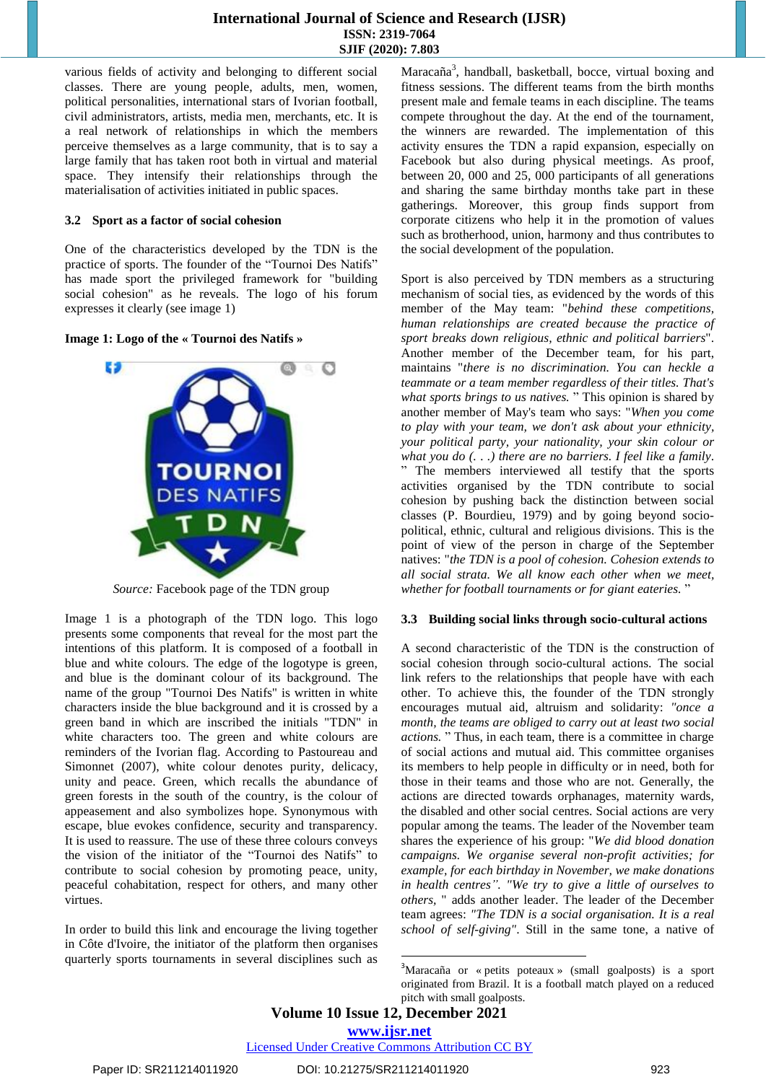various fields of activity and belonging to different social classes. There are young people, adults, men, women, political personalities, international stars of Ivorian football, civil administrators, artists, media men, merchants, etc. It is a real network of relationships in which the members perceive themselves as a large community, that is to say a large family that has taken root both in virtual and material space. They intensify their relationships through the materialisation of activities initiated in public spaces.

#### **3.2 Sport as a factor of social cohesion**

One of the characteristics developed by the TDN is the practice of sports. The founder of the "Tournoi Des Natifs" has made sport the privileged framework for "building social cohesion" as he reveals. The logo of his forum expresses it clearly (see image 1)

**Image 1: Logo of the « Tournoi des Natifs »**



*Source:* Facebook page of the TDN group

Image 1 is a photograph of the TDN logo. This logo presents some components that reveal for the most part the intentions of this platform. It is composed of a football in blue and white colours. The edge of the logotype is green, and blue is the dominant colour of its background. The name of the group "Tournoi Des Natifs" is written in white characters inside the blue background and it is crossed by a green band in which are inscribed the initials "TDN" in white characters too. The green and white colours are reminders of the Ivorian flag. According to Pastoureau and Simonnet (2007), white colour denotes purity, delicacy, unity and peace. Green, which recalls the abundance of green forests in the south of the country, is the colour of appeasement and also symbolizes hope. Synonymous with escape, blue evokes confidence, security and transparency. It is used to reassure. The use of these three colours conveys the vision of the initiator of the "Tournoi des Natifs" to contribute to social cohesion by promoting peace, unity, peaceful cohabitation, respect for others, and many other virtues.

In order to build this link and encourage the living together in Côte d'Ivoire, the initiator of the platform then organises quarterly sports tournaments in several disciplines such as

Maracaña<sup>3</sup>, handball, basketball, bocce, virtual boxing and fitness sessions. The different teams from the birth months present male and female teams in each discipline. The teams compete throughout the day. At the end of the tournament, the winners are rewarded. The implementation of this activity ensures the TDN a rapid expansion, especially on Facebook but also during physical meetings. As proof, between 20, 000 and 25, 000 participants of all generations and sharing the same birthday months take part in these gatherings. Moreover, this group finds support from corporate citizens who help it in the promotion of values such as brotherhood, union, harmony and thus contributes to the social development of the population.

Sport is also perceived by TDN members as a structuring mechanism of social ties, as evidenced by the words of this member of the May team: "*behind these competitions, human relationships are created because the practice of sport breaks down religious, ethnic and political barriers*". Another member of the December team, for his part, maintains "*there is no discrimination. You can heckle a teammate or a team member regardless of their titles. That's what sports brings to us natives.* " This opinion is shared by another member of May's team who says: "*When you come to play with your team, we don't ask about your ethnicity, your political party, your nationality, your skin colour or what you do (. . .) there are no barriers. I feel like a family*. " The members interviewed all testify that the sports activities organised by the TDN contribute to social cohesion by pushing back the distinction between social classes (P. Bourdieu, 1979) and by going beyond sociopolitical, ethnic, cultural and religious divisions. This is the point of view of the person in charge of the September natives: "*the TDN is a pool of cohesion. Cohesion extends to all social strata. We all know each other when we meet, whether for football tournaments or for giant eateries.* "

#### **3.3 Building social links through socio-cultural actions**

A second characteristic of the TDN is the construction of social cohesion through socio-cultural actions. The social link refers to the relationships that people have with each other. To achieve this, the founder of the TDN strongly encourages mutual aid, altruism and solidarity: *"once a month, the teams are obliged to carry out at least two social actions.* " Thus, in each team, there is a committee in charge of social actions and mutual aid. This committee organises its members to help people in difficulty or in need, both for those in their teams and those who are not. Generally, the actions are directed towards orphanages, maternity wards, the disabled and other social centres. Social actions are very popular among the teams. The leader of the November team shares the experience of his group: "*We did blood donation campaigns. We organise several non-profit activities; for example, for each birthday in November, we make donations in health centres". "We try to give a little of ourselves to others,* " adds another leader. The leader of the December team agrees: *"The TDN is a social organisation. It is a real school of self-giving"*. Still in the same tone, a native of

 $\overline{a}$ 

Licensed Under Creative Commons Attribution CC BY

<sup>3</sup>Maracaña or « petits poteaux » (small goalposts) is a sport originated from Brazil. It is a football match played on a reduced pitch with small goalposts.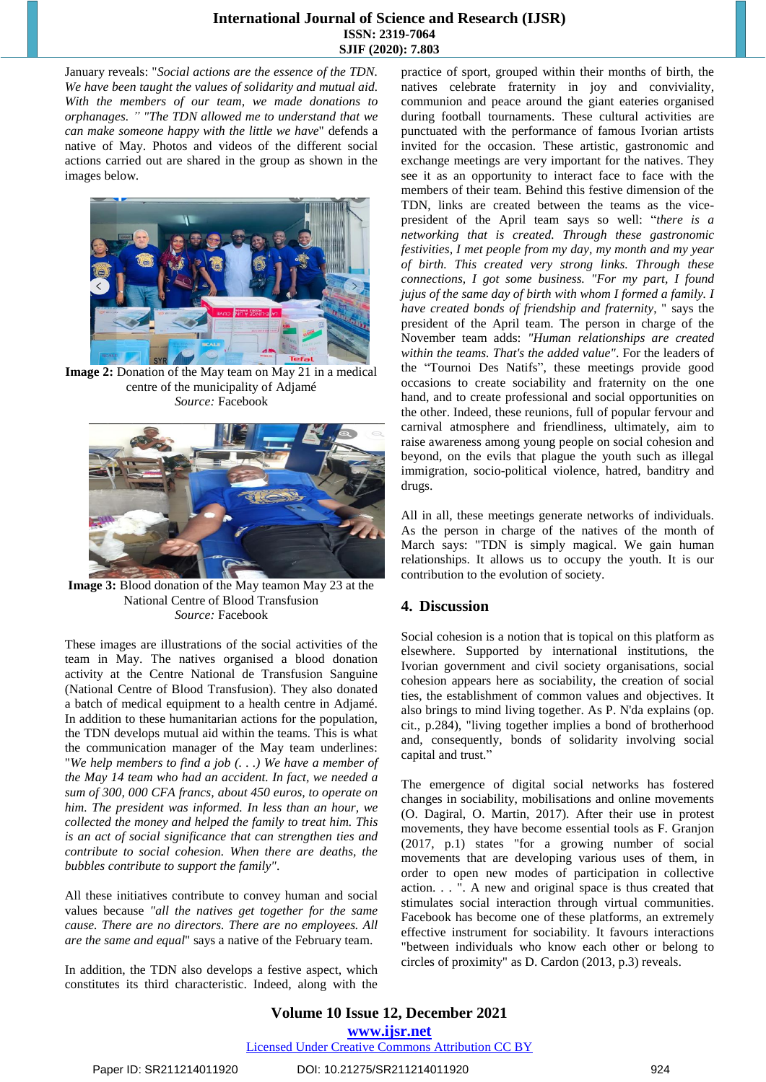January reveals: "*Social actions are the essence of the TDN. We have been taught the values of solidarity and mutual aid. With the members of our team, we made donations to orphanages. " "The TDN allowed me to understand that we can make someone happy with the little we have*" defends a native of May. Photos and videos of the different social actions carried out are shared in the group as shown in the images below.



**Image 2:** Donation of the May team on May 21 in a medical centre of the municipality of Adjamé *Source:* Facebook



**Image 3:** Blood donation of the May teamon May 23 at the National Centre of Blood Transfusion *Source:* Facebook

These images are illustrations of the social activities of the team in May. The natives organised a blood donation activity at the Centre National de Transfusion Sanguine (National Centre of Blood Transfusion). They also donated a batch of medical equipment to a health centre in Adjamé. In addition to these humanitarian actions for the population, the TDN develops mutual aid within the teams. This is what the communication manager of the May team underlines: "*We help members to find a job (. . .) We have a member of the May 14 team who had an accident. In fact, we needed a sum of 300, 000 CFA francs, about 450 euros, to operate on him. The president was informed. In less than an hour, we collected the money and helped the family to treat him. This is an act of social significance that can strengthen ties and contribute to social cohesion. When there are deaths, the bubbles contribute to support the family"*.

All these initiatives contribute to convey human and social values because *"all the natives get together for the same cause. There are no directors. There are no employees. All are the same and equal*" says a native of the February team.

In addition, the TDN also develops a festive aspect, which constitutes its third characteristic. Indeed, along with the

practice of sport, grouped within their months of birth, the natives celebrate fraternity in joy and conviviality, communion and peace around the giant eateries organised during football tournaments. These cultural activities are punctuated with the performance of famous Ivorian artists invited for the occasion. These artistic, gastronomic and exchange meetings are very important for the natives. They see it as an opportunity to interact face to face with the members of their team. Behind this festive dimension of the TDN, links are created between the teams as the vicepresident of the April team says so well: "*there is a networking that is created. Through these gastronomic festivities, I met people from my day, my month and my year of birth. This created very strong links. Through these connections, I got some business. "For my part, I found jujus of the same day of birth with whom I formed a family. I have created bonds of friendship and fraternity*, " says the president of the April team. The person in charge of the November team adds: *"Human relationships are created within the teams. That's the added value"*. For the leaders of the "Tournoi Des Natifs", these meetings provide good occasions to create sociability and fraternity on the one hand, and to create professional and social opportunities on the other. Indeed, these reunions, full of popular fervour and carnival atmosphere and friendliness, ultimately, aim to raise awareness among young people on social cohesion and beyond, on the evils that plague the youth such as illegal immigration, socio-political violence, hatred, banditry and drugs.

All in all, these meetings generate networks of individuals. As the person in charge of the natives of the month of March says: "TDN is simply magical. We gain human relationships. It allows us to occupy the youth. It is our contribution to the evolution of society.

# **4. Discussion**

Social cohesion is a notion that is topical on this platform as elsewhere. Supported by international institutions, the Ivorian government and civil society organisations, social cohesion appears here as sociability, the creation of social ties, the establishment of common values and objectives. It also brings to mind living together. As P. N'da explains (op. cit., p.284), "living together implies a bond of brotherhood and, consequently, bonds of solidarity involving social capital and trust."

The emergence of digital social networks has fostered changes in sociability, mobilisations and online movements (O. Dagiral, O. Martin, 2017). After their use in protest movements, they have become essential tools as F. Granjon (2017, p.1) states "for a growing number of social movements that are developing various uses of them, in order to open new modes of participation in collective action. . . ". A new and original space is thus created that stimulates social interaction through virtual communities. Facebook has become one of these platforms, an extremely effective instrument for sociability. It favours interactions "between individuals who know each other or belong to circles of proximity" as D. Cardon (2013, p.3) reveals.

**Volume 10 Issue 12, December 2021 www.ijsr.net** Licensed Under Creative Commons Attribution CC BY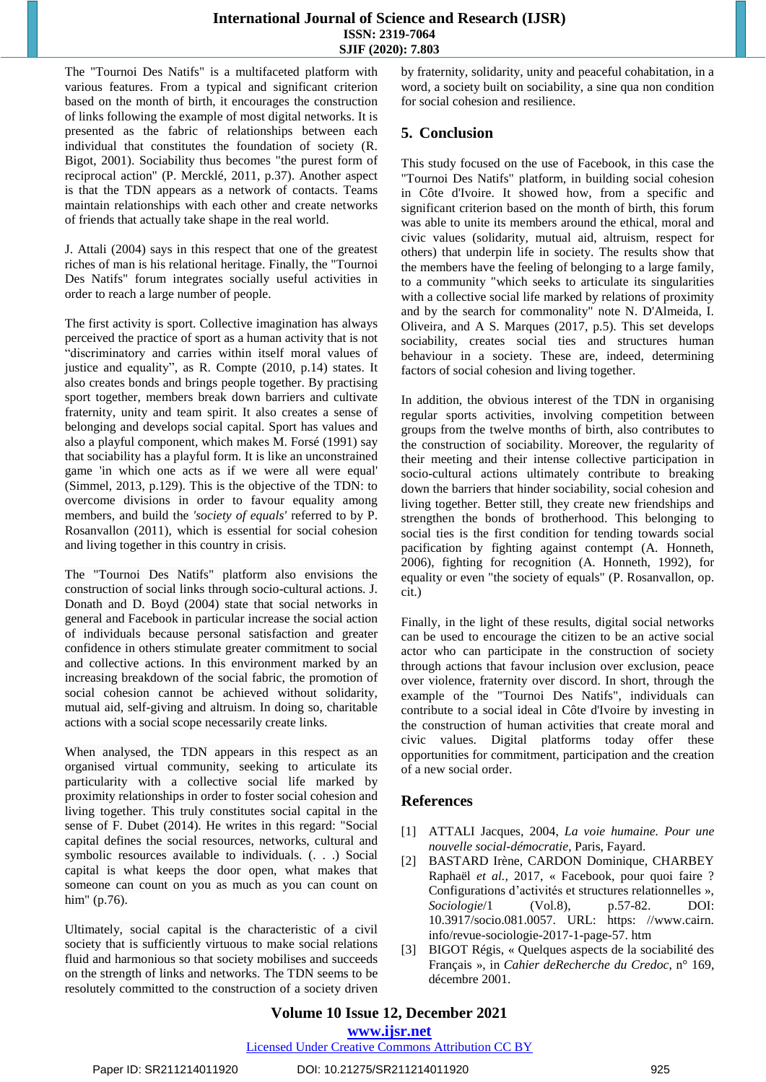The "Tournoi Des Natifs" is a multifaceted platform with various features. From a typical and significant criterion based on the month of birth, it encourages the construction of links following the example of most digital networks. It is presented as the fabric of relationships between each individual that constitutes the foundation of society (R. Bigot, 2001). Sociability thus becomes "the purest form of reciprocal action" (P. Mercklé, 2011, p.37). Another aspect is that the TDN appears as a network of contacts. Teams maintain relationships with each other and create networks of friends that actually take shape in the real world.

J. Attali (2004) says in this respect that one of the greatest riches of man is his relational heritage. Finally, the "Tournoi Des Natifs" forum integrates socially useful activities in order to reach a large number of people.

The first activity is sport. Collective imagination has always perceived the practice of sport as a human activity that is not "discriminatory and carries within itself moral values of justice and equality", as R. Compte (2010, p.14) states. It also creates bonds and brings people together. By practising sport together, members break down barriers and cultivate fraternity, unity and team spirit. It also creates a sense of belonging and develops social capital. Sport has values and also a playful component, which makes M. Forsé (1991) say that sociability has a playful form. It is like an unconstrained game 'in which one acts as if we were all were equal' (Simmel, 2013, p.129). This is the objective of the TDN: to overcome divisions in order to favour equality among members, and build the *'society of equals'* referred to by P. Rosanvallon (2011), which is essential for social cohesion and living together in this country in crisis.

The "Tournoi Des Natifs" platform also envisions the construction of social links through socio-cultural actions. J. Donath and D. Boyd (2004) state that social networks in general and Facebook in particular increase the social action of individuals because personal satisfaction and greater confidence in others stimulate greater commitment to social and collective actions. In this environment marked by an increasing breakdown of the social fabric, the promotion of social cohesion cannot be achieved without solidarity, mutual aid, self-giving and altruism. In doing so, charitable actions with a social scope necessarily create links.

When analysed, the TDN appears in this respect as an organised virtual community, seeking to articulate its particularity with a collective social life marked by proximity relationships in order to foster social cohesion and living together. This truly constitutes social capital in the sense of F. Dubet (2014). He writes in this regard: "Social capital defines the social resources, networks, cultural and symbolic resources available to individuals. (. . .) Social capital is what keeps the door open, what makes that someone can count on you as much as you can count on him" (p.76).

Ultimately, social capital is the characteristic of a civil society that is sufficiently virtuous to make social relations fluid and harmonious so that society mobilises and succeeds on the strength of links and networks. The TDN seems to be resolutely committed to the construction of a society driven by fraternity, solidarity, unity and peaceful cohabitation, in a word, a society built on sociability, a sine qua non condition for social cohesion and resilience.

## **5. Conclusion**

This study focused on the use of Facebook, in this case the "Tournoi Des Natifs" platform, in building social cohesion in Côte d'Ivoire. It showed how, from a specific and significant criterion based on the month of birth, this forum was able to unite its members around the ethical, moral and civic values (solidarity, mutual aid, altruism, respect for others) that underpin life in society. The results show that the members have the feeling of belonging to a large family, to a community "which seeks to articulate its singularities with a collective social life marked by relations of proximity and by the search for commonality" note N. D'Almeida, I. Oliveira, and A S. Marques (2017, p.5). This set develops sociability, creates social ties and structures human behaviour in a society. These are, indeed, determining factors of social cohesion and living together.

In addition, the obvious interest of the TDN in organising regular sports activities, involving competition between groups from the twelve months of birth, also contributes to the construction of sociability. Moreover, the regularity of their meeting and their intense collective participation in socio-cultural actions ultimately contribute to breaking down the barriers that hinder sociability, social cohesion and living together. Better still, they create new friendships and strengthen the bonds of brotherhood. This belonging to social ties is the first condition for tending towards social pacification by fighting against contempt (A. Honneth, 2006), fighting for recognition (A. Honneth, 1992), for equality or even "the society of equals" (P. Rosanvallon, op. cit.)

Finally, in the light of these results, digital social networks can be used to encourage the citizen to be an active social actor who can participate in the construction of society through actions that favour inclusion over exclusion, peace over violence, fraternity over discord. In short, through the example of the "Tournoi Des Natifs", individuals can contribute to a social ideal in Côte d'Ivoire by investing in the construction of human activities that create moral and civic values. Digital platforms today offer these opportunities for commitment, participation and the creation of a new social order.

## **References**

- [1] ATTALI Jacques, 2004, *La voie humaine. Pour une nouvelle social-démocratie*, Paris, Fayard.
- [2] BASTARD Irène, CARDON Dominique, CHARBEY Raphaël *et al.,* 2017, « Facebook, pour quoi faire ? Configurations d'activités et structures relationnelles », *Sociologie*/1 (Vol.8), p.57-82. DOI: 10.3917/socio.081.0057. URL: [https: //www.cairn.](https://www.cairn.info/revue-sociologie-2017-1-page-57.htm)  [info/revue-sociologie-2017-1-page-57. htm](https://www.cairn.info/revue-sociologie-2017-1-page-57.htm)
- [3] BIGOT Régis, « Quelques aspects de la sociabilité des Français », in *Cahier deRecherche du Credoc*, n° 169, décembre 2001.

#### Licensed Under Creative Commons Attribution CC BY